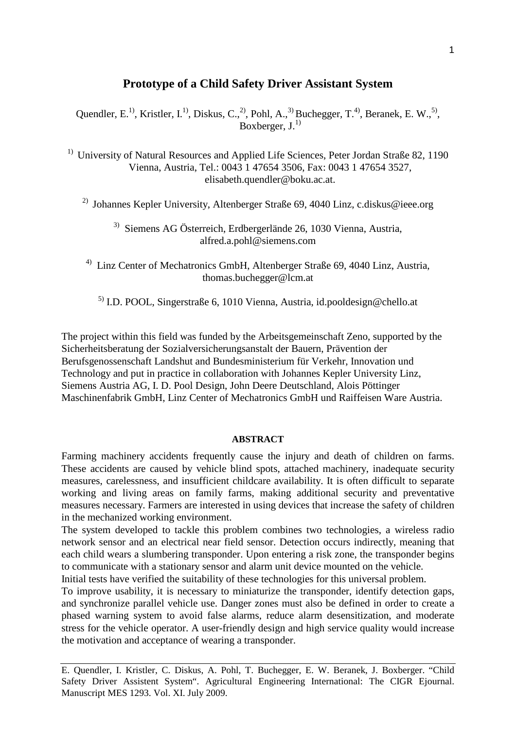# **Prototype of a Child Safety Driver Assistant System**

Quendler, E.<sup>1)</sup>, Kristler, I.<sup>1)</sup>, Diskus, C.,<sup>2)</sup>, Pohl, A.,<sup>3)</sup> Buchegger, T.<sup>4)</sup>, Beranek, E. W.,<sup>5)</sup>, Boxberger,  $J^{(1)}$ 

 $1)$  University of Natural Resources and Applied Life Sciences, Peter Jordan Straße 82, 1190 Vienna, Austria, Tel.: 0043 1 47654 3506, Fax: 0043 1 47654 3527, [elisabeth.quendler@boku.ac.at.](mailto:elisabeth.quendler@boku.ac.at)

<sup>2)</sup> Johannes Kepler University, Altenberger Straße 69, 4040 Linz, [c.diskus@ieee.org](mailto:c.diskus@ieee.org)

3)Siemens AG Österreich, Erdbergerlände 26, 1030 Vienna, Austria, [alfred.a.pohl@siemens.com](mailto:alfred.a.pohl@siemens.com)

4)Linz Center of Mechatronics GmbH, Altenberger Straße 69, 4040 Linz, Austria, [thomas.buchegger@lcm.at](mailto:thomas.buchegger@lcm.at)

<sup>5)</sup> I.D. POOL, Singerstraße 6, 1010 Vienna, Austria, [id.pooldesign@chello.at](mailto:id.pooldesign@chello.at)

The project within this field was funded by the Arbeitsgemeinschaft Zeno, supported by the Sicherheitsberatung der Sozialversicherungsanstalt der Bauern, Prävention der Berufsgenossenschaft Landshut and Bundesministerium für Verkehr, Innovation und Technology and put in practice in collaboration with Johannes Kepler University Linz, Siemens Austria AG, I. D. Pool Design, John Deere Deutschland, Alois Pöttinger Maschinenfabrik GmbH, Linz Center of Mechatronics GmbH und Raiffeisen Ware Austria.

### **ABSTRACT**

Farming machinery accidents frequently cause the injury and death of children on farms. These accidents are caused by vehicle blind spots, attached machinery, inadequate security measures, carelessness, and insufficient childcare availability. It is often difficult to separate working and living areas on family farms, making additional security and preventative measures necessary. Farmers are interested in using devices that increase the safety of children in the mechanized working environment.

The system developed to tackle this problem combines two technologies, a wireless radio network sensor and an electrical near field sensor. Detection occurs indirectly, meaning that each child wears a slumbering transponder. Upon entering a risk zone, the transponder begins to communicate with a stationary sensor and alarm unit device mounted on the vehicle.

Initial tests have verified the suitability of these technologies for this universal problem.

To improve usability, it is necessary to miniaturize the transponder, identify detection gaps, and synchronize parallel vehicle use. Danger zones must also be defined in order to create a phased warning system to avoid false alarms, reduce alarm desensitization, and moderate stress for the vehicle operator. A user-friendly design and high service quality would increase the motivation and acceptance of wearing a transponder.

E. Quendler, I. Kristler, C. Diskus, A. Pohl, T. Buchegger, E. W. Beranek, J. Boxberger. "Child Safety Driver Assistent System". Agricultural Engineering International: The CIGR Ejournal. Manuscript MES 1293. Vol. XI. July 2009.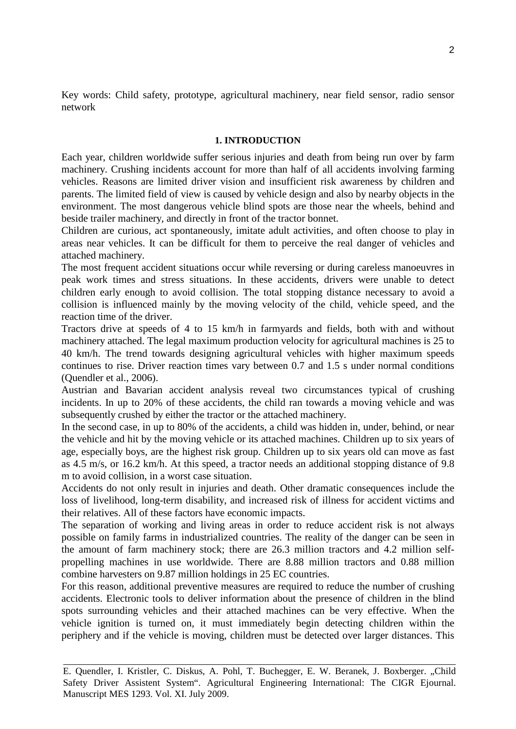Key words: Child safety, prototype, agricultural machinery, near field sensor, radio sensor network

#### **1. INTRODUCTION**

Each year, children worldwide suffer serious injuries and death from being run over by farm machinery. Crushing incidents account for more than half of all accidents involving farming vehicles. Reasons are limited driver vision and insufficient risk awareness by children and parents. The limited field of view is caused by vehicle design and also by nearby objects in the environment. The most dangerous vehicle blind spots are those near the wheels, behind and beside trailer machinery, and directly in front of the tractor bonnet.

Children are curious, act spontaneously, imitate adult activities, and often choose to play in areas near vehicles. It can be difficult for them to perceive the real danger of vehicles and attached machinery.

The most frequent accident situations occur while reversing or during careless manoeuvres in peak work times and stress situations. In these accidents, drivers were unable to detect children early enough to avoid collision. The total stopping distance necessary to avoid a collision is influenced mainly by the moving velocity of the child, vehicle speed, and the reaction time of the driver.

Tractors drive at speeds of 4 to 15 km/h in farmyards and fields, both with and without machinery attached. The legal maximum production velocity for agricultural machines is 25 to 40 km/h. The trend towards designing agricultural vehicles with higher maximum speeds continues to rise. Driver reaction times vary between 0.7 and 1.5 s under normal conditions (Quendler et al., 2006).

Austrian and Bavarian accident analysis reveal two circumstances typical of crushing incidents. In up to 20% of these accidents, the child ran towards a moving vehicle and was subsequently crushed by either the tractor or the attached machinery.

In the second case, in up to 80% of the accidents, a child was hidden in, under, behind, or near the vehicle and hit by the moving vehicle or its attached machines. Children up to six years of age, especially boys, are the highest risk group. Children up to six years old can move as fast as 4.5 m/s, or 16.2 km/h. At this speed, a tractor needs an additional stopping distance of 9.8 m to avoid collision, in a worst case situation.

Accidents do not only result in injuries and death. Other dramatic consequences include the loss of livelihood, long-term disability, and increased risk of illness for accident victims and their relatives. All of these factors have economic impacts.

The separation of working and living areas in order to reduce accident risk is not always possible on family farms in industrialized countries. The reality of the danger can be seen in the amount of farm machinery stock; there are 26.3 million tractors and 4.2 million selfpropelling machines in use worldwide. There are 8.88 million tractors and 0.88 million combine harvesters on 9.87 million holdings in 25 EC countries.

For this reason, additional preventive measures are required to reduce the number of crushing accidents. Electronic tools to deliver information about the presence of children in the blind spots surrounding vehicles and their attached machines can be very effective. When the vehicle ignition is turned on, it must immediately begin detecting children within the periphery and if the vehicle is moving, children must be detected over larger distances. This

E. Quendler, I. Kristler, C. Diskus, A. Pohl, T. Buchegger, E. W. Beranek, J. Boxberger. "Child Safety Driver Assistent System". Agricultural Engineering International: The CIGR Ejournal. Manuscript MES 1293. Vol. XI. July 2009.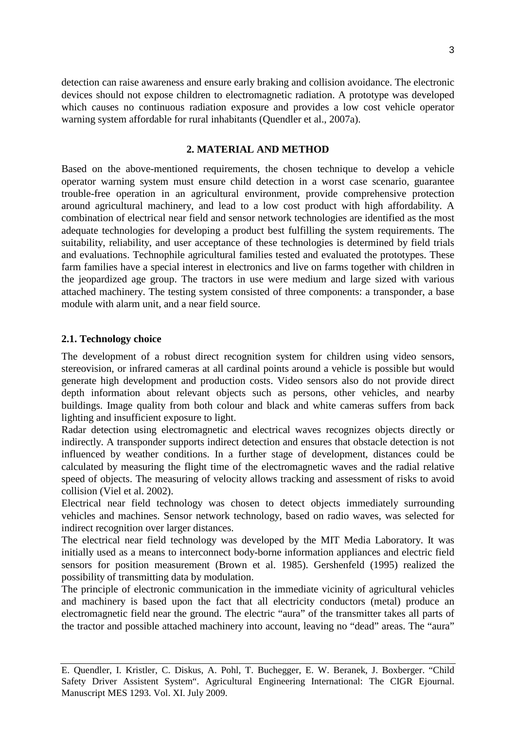detection can raise awareness and ensure early braking and collision avoidance. The electronic devices should not expose children to electromagnetic radiation. A prototype was developed which causes no continuous radiation exposure and provides a low cost vehicle operator warning system affordable for rural inhabitants (Quendler et al., 2007a).

# **2. MATERIAL AND METHOD**

Based on the above-mentioned requirements, the chosen technique to develop a vehicle operator warning system must ensure child detection in a worst case scenario, guarantee trouble-free operation in an agricultural environment, provide comprehensive protection around agricultural machinery, and lead to a low cost product with high affordability. A combination of electrical near field and sensor network technologies are identified as the most adequate technologies for developing a product best fulfilling the system requirements. The suitability, reliability, and user acceptance of these technologies is determined by field trials and evaluations. Technophile agricultural families tested and evaluated the prototypes. These farm families have a special interest in electronics and live on farms together with children in the jeopardized age group. The tractors in use were medium and large sized with various attached machinery. The testing system consisted of three components: a transponder, a base module with alarm unit, and a near field source.

#### **2.1. Technology choice**

The development of a robust direct recognition system for children using video sensors, stereovision, or infrared cameras at all cardinal points around a vehicle is possible but would generate high development and production costs. Video sensors also do not provide direct depth information about relevant objects such as persons, other vehicles, and nearby buildings. Image quality from both colour and black and white cameras suffers from back lighting and insufficient exposure to light.

Radar detection using electromagnetic and electrical waves recognizes objects directly or indirectly. A transponder supports indirect detection and ensures that obstacle detection is not influenced by weather conditions. In a further stage of development, distances could be calculated by measuring the flight time of the electromagnetic waves and the radial relative speed of objects. The measuring of velocity allows tracking and assessment of risks to avoid collision (Viel et al. 2002).

Electrical near field technology was chosen to detect objects immediately surrounding vehicles and machines. Sensor network technology, based on radio waves, was selected for indirect recognition over larger distances.

The electrical near field technology was developed by the MIT Media Laboratory. It was initially used as a means to interconnect body-borne information appliances and electric field sensors for position measurement (Brown et al. 1985). Gershenfeld (1995) realized the possibility of transmitting data by modulation.

The principle of electronic communication in the immediate vicinity of agricultural vehicles and machinery is based upon the fact that all electricity conductors (metal) produce an electromagnetic field near the ground. The electric "aura" of the transmitter takes all parts of the tractor and possible attached machinery into account, leaving no "dead" areas. The "aura"

E. Quendler, I. Kristler, C. Diskus, A. Pohl, T. Buchegger, E. W. Beranek, J. Boxberger. "Child Safety Driver Assistent System". Agricultural Engineering International: The CIGR Ejournal. Manuscript MES 1293. Vol. XI. July 2009.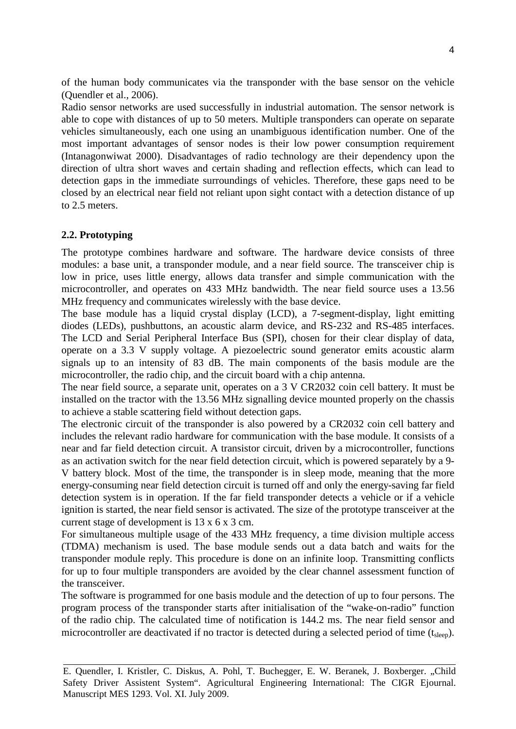of the human body communicates via the transponder with the base sensor on the vehicle (Quendler et al., 2006).

Radio sensor networks are used successfully in industrial automation. The sensor network is able to cope with distances of up to 50 meters. Multiple transponders can operate on separate vehicles simultaneously, each one using an unambiguous identification number. One of the most important advantages of sensor nodes is their low power consumption requirement (Intanagonwiwat 2000). Disadvantages of radio technology are their dependency upon the direction of ultra short waves and certain shading and reflection effects, which can lead to detection gaps in the immediate surroundings of vehicles. Therefore, these gaps need to be closed by an electrical near field not reliant upon sight contact with a detection distance of up to 2.5 meters.

# **2.2. Prototyping**

The prototype combines hardware and software. The hardware device consists of three modules: a base unit, a transponder module, and a near field source. The transceiver chip is low in price, uses little energy, allows data transfer and simple communication with the microcontroller, and operates on 433 MHz bandwidth. The near field source uses a 13.56 MHz frequency and communicates wirelessly with the base device.

The base module has a liquid crystal display (LCD), a 7-segment-display, light emitting diodes (LEDs), pushbuttons, an acoustic alarm device, and RS-232 and RS-485 interfaces. The LCD and Serial Peripheral Interface Bus (SPI), chosen for their clear display of data, operate on a 3.3 V supply voltage. A piezoelectric sound generator emits acoustic alarm signals up to an intensity of 83 dB. The main components of the basis module are the microcontroller, the radio chip, and the circuit board with a chip antenna.

The near field source, a separate unit, operates on a 3 V CR2032 coin cell battery. It must be installed on the tractor with the 13.56 MHz signalling device mounted properly on the chassis to achieve a stable scattering field without detection gaps.

The electronic circuit of the transponder is also powered by a CR2032 coin cell battery and includes the relevant radio hardware for communication with the base module. It consists of a near and far field detection circuit. A transistor circuit, driven by a microcontroller, functions as an activation switch for the near field detection circuit, which is powered separately by a 9- V battery block. Most of the time, the transponder is in sleep mode, meaning that the more energy-consuming near field detection circuit is turned off and only the energy-saving far field detection system is in operation. If the far field transponder detects a vehicle or if a vehicle ignition is started, the near field sensor is activated. The size of the prototype transceiver at the current stage of development is 13 x 6 x 3 cm.

For simultaneous multiple usage of the 433 MHz frequency, a time division multiple access (TDMA) mechanism is used. The base module sends out a data batch and waits for the transponder module reply. This procedure is done on an infinite loop. Transmitting conflicts for up to four multiple transponders are avoided by the clear channel assessment function of the transceiver.

The software is programmed for one basis module and the detection of up to four persons. The program process of the transponder starts after initialisation of the "wake-on-radio" function of the radio chip. The calculated time of notification is 144.2 ms. The near field sensor and microcontroller are deactivated if no tractor is detected during a selected period of time (t<sub>sleep</sub>).

E. Quendler, I. Kristler, C. Diskus, A. Pohl, T. Buchegger, E. W. Beranek, J. Boxberger. "Child Safety Driver Assistent System". Agricultural Engineering International: The CIGR Ejournal. Manuscript MES 1293. Vol. XI. July 2009.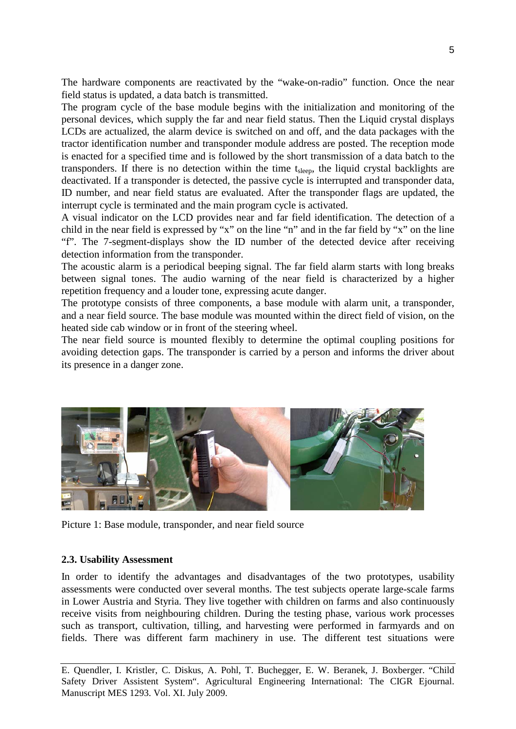The hardware components are reactivated by the "wake-on-radio" function. Once the near field status is updated, a data batch is transmitted.

The program cycle of the base module begins with the initialization and monitoring of the personal devices, which supply the far and near field status. Then the Liquid crystal displays LCDs are actualized, the alarm device is switched on and off, and the data packages with the tractor identification number and transponder module address are posted. The reception mode is enacted for a specified time and is followed by the short transmission of a data batch to the transponders. If there is no detection within the time t<sub>sleep</sub>, the liquid crystal backlights are deactivated. If a transponder is detected, the passive cycle is interrupted and transponder data, ID number, and near field status are evaluated. After the transponder flags are updated, the interrupt cycle is terminated and the main program cycle is activated.

A visual indicator on the LCD provides near and far field identification. The detection of a child in the near field is expressed by "x" on the line "n" and in the far field by "x" on the line "f". The 7-segment-displays show the ID number of the detected device after receiving detection information from the transponder.

The acoustic alarm is a periodical beeping signal. The far field alarm starts with long breaks between signal tones. The audio warning of the near field is characterized by a higher repetition frequency and a louder tone, expressing acute danger.

The prototype consists of three components, a base module with alarm unit, a transponder, and a near field source. The base module was mounted within the direct field of vision, on the heated side cab window or in front of the steering wheel.

The near field source is mounted flexibly to determine the optimal coupling positions for avoiding detection gaps. The transponder is carried by a person and informs the driver about its presence in a danger zone.



Picture 1: Base module, transponder, and near field source

### **2.3. Usability Assessment**

In order to identify the advantages and disadvantages of the two prototypes, usability assessments were conducted over several months. The test subjects operate large-scale farms in Lower Austria and Styria. They live together with children on farms and also continuously receive visits from neighbouring children. During the testing phase, various work processes such as transport, cultivation, tilling, and harvesting were performed in farmyards and on fields. There was different farm machinery in use. The different test situations were

E. Quendler, I. Kristler, C. Diskus, A. Pohl, T. Buchegger, E. W. Beranek, J. Boxberger. "Child Safety Driver Assistent System". Agricultural Engineering International: The CIGR Ejournal. Manuscript MES 1293. Vol. XI. July 2009.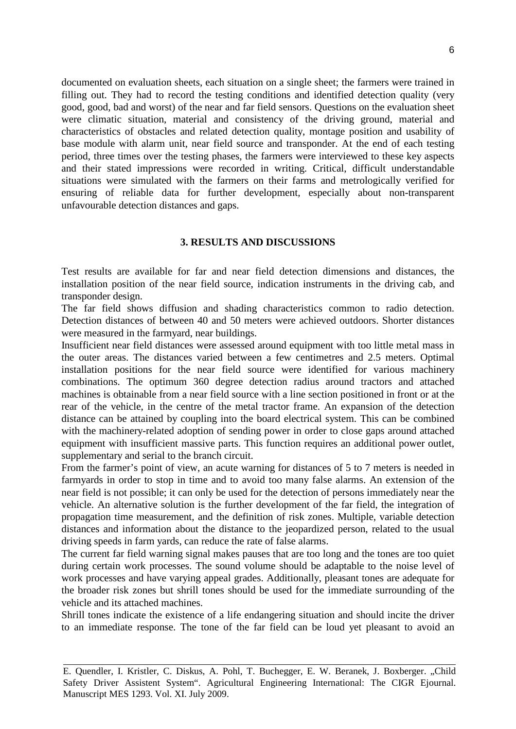documented on evaluation sheets, each situation on a single sheet; the farmers were trained in filling out. They had to record the testing conditions and identified detection quality (very good, good, bad and worst) of the near and far field sensors. Questions on the evaluation sheet were climatic situation, material and consistency of the driving ground, material and characteristics of obstacles and related detection quality, montage position and usability of base module with alarm unit, near field source and transponder. At the end of each testing period, three times over the testing phases, the farmers were interviewed to these key aspects and their stated impressions were recorded in writing. Critical, difficult understandable situations were simulated with the farmers on their farms and metrologically verified for ensuring of reliable data for further development, especially about non-transparent unfavourable detection distances and gaps.

### **3. RESULTS AND DISCUSSIONS**

Test results are available for far and near field detection dimensions and distances, the installation position of the near field source, indication instruments in the driving cab, and transponder design.

The far field shows diffusion and shading characteristics common to radio detection. Detection distances of between 40 and 50 meters were achieved outdoors. Shorter distances were measured in the farmyard, near buildings.

Insufficient near field distances were assessed around equipment with too little metal mass in the outer areas. The distances varied between a few centimetres and 2.5 meters. Optimal installation positions for the near field source were identified for various machinery combinations. The optimum 360 degree detection radius around tractors and attached machines is obtainable from a near field source with a line section positioned in front or at the rear of the vehicle, in the centre of the metal tractor frame. An expansion of the detection distance can be attained by coupling into the board electrical system. This can be combined with the machinery-related adoption of sending power in order to close gaps around attached equipment with insufficient massive parts. This function requires an additional power outlet, supplementary and serial to the branch circuit.

From the farmer's point of view, an acute warning for distances of 5 to 7 meters is needed in farmyards in order to stop in time and to avoid too many false alarms. An extension of the near field is not possible; it can only be used for the detection of persons immediately near the vehicle. An alternative solution is the further development of the far field, the integration of propagation time measurement, and the definition of risk zones. Multiple, variable detection distances and information about the distance to the jeopardized person, related to the usual driving speeds in farm yards, can reduce the rate of false alarms.

The current far field warning signal makes pauses that are too long and the tones are too quiet during certain work processes. The sound volume should be adaptable to the noise level of work processes and have varying appeal grades. Additionally, pleasant tones are adequate for the broader risk zones but shrill tones should be used for the immediate surrounding of the vehicle and its attached machines.

Shrill tones indicate the existence of a life endangering situation and should incite the driver to an immediate response. The tone of the far field can be loud yet pleasant to avoid an

E. Quendler, I. Kristler, C. Diskus, A. Pohl, T. Buchegger, E. W. Beranek, J. Boxberger. "Child Safety Driver Assistent System". Agricultural Engineering International: The CIGR Ejournal. Manuscript MES 1293. Vol. XI. July 2009.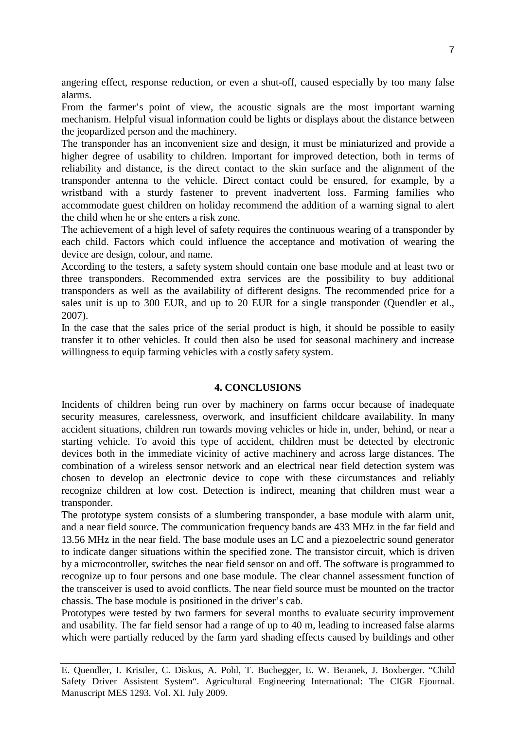angering effect, response reduction, or even a shut-off, caused especially by too many false alarms.

From the farmer's point of view, the acoustic signals are the most important warning mechanism. Helpful visual information could be lights or displays about the distance between the jeopardized person and the machinery.

The transponder has an inconvenient size and design, it must be miniaturized and provide a higher degree of usability to children. Important for improved detection, both in terms of reliability and distance, is the direct contact to the skin surface and the alignment of the transponder antenna to the vehicle. Direct contact could be ensured, for example, by a wristband with a sturdy fastener to prevent inadvertent loss. Farming families who accommodate guest children on holiday recommend the addition of a warning signal to alert the child when he or she enters a risk zone.

The achievement of a high level of safety requires the continuous wearing of a transponder by each child. Factors which could influence the acceptance and motivation of wearing the device are design, colour, and name.

According to the testers, a safety system should contain one base module and at least two or three transponders. Recommended extra services are the possibility to buy additional transponders as well as the availability of different designs. The recommended price for a sales unit is up to 300 EUR, and up to 20 EUR for a single transponder (Quendler et al., 2007).

In the case that the sales price of the serial product is high, it should be possible to easily transfer it to other vehicles. It could then also be used for seasonal machinery and increase willingness to equip farming vehicles with a costly safety system.

# **4. CONCLUSIONS**

Incidents of children being run over by machinery on farms occur because of inadequate security measures, carelessness, overwork, and insufficient childcare availability. In many accident situations, children run towards moving vehicles or hide in, under, behind, or near a starting vehicle. To avoid this type of accident, children must be detected by electronic devices both in the immediate vicinity of active machinery and across large distances. The combination of a wireless sensor network and an electrical near field detection system was chosen to develop an electronic device to cope with these circumstances and reliably recognize children at low cost. Detection is indirect, meaning that children must wear a transponder.

The prototype system consists of a slumbering transponder, a base module with alarm unit, and a near field source. The communication frequency bands are 433 MHz in the far field and 13.56 MHz in the near field. The base module uses an LC and a piezoelectric sound generator to indicate danger situations within the specified zone. The transistor circuit, which is driven by a microcontroller, switches the near field sensor on and off. The software is programmed to recognize up to four persons and one base module. The clear channel assessment function of the transceiver is used to avoid conflicts. The near field source must be mounted on the tractor chassis. The base module is positioned in the driver's cab.

Prototypes were tested by two farmers for several months to evaluate security improvement and usability. The far field sensor had a range of up to 40 m, leading to increased false alarms which were partially reduced by the farm yard shading effects caused by buildings and other

E. Quendler, I. Kristler, C. Diskus, A. Pohl, T. Buchegger, E. W. Beranek, J. Boxberger. "Child Safety Driver Assistent System". Agricultural Engineering International: The CIGR Ejournal. Manuscript MES 1293. Vol. XI. July 2009.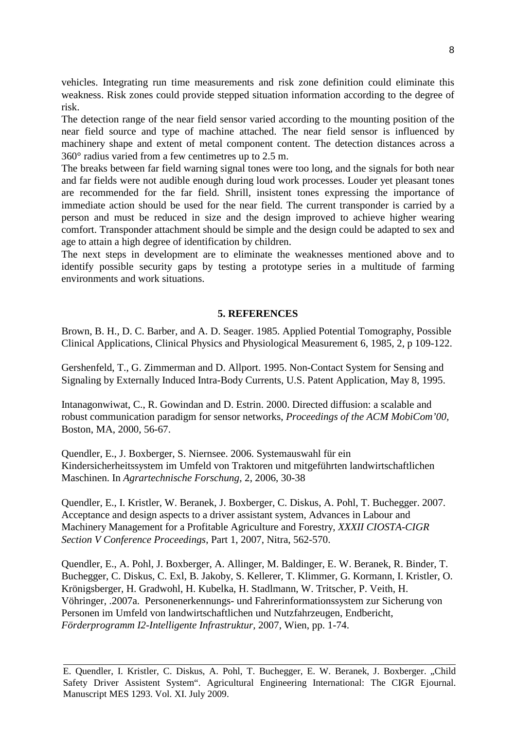vehicles. Integrating run time measurements and risk zone definition could eliminate this weakness. Risk zones could provide stepped situation information according to the degree of risk.

The detection range of the near field sensor varied according to the mounting position of the near field source and type of machine attached. The near field sensor is influenced by machinery shape and extent of metal component content. The detection distances across a 360° radius varied from a few centimetres up to 2.5 m.

The breaks between far field warning signal tones were too long, and the signals for both near and far fields were not audible enough during loud work processes. Louder yet pleasant tones are recommended for the far field. Shrill, insistent tones expressing the importance of immediate action should be used for the near field. The current transponder is carried by a person and must be reduced in size and the design improved to achieve higher wearing comfort. Transponder attachment should be simple and the design could be adapted to sex and age to attain a high degree of identification by children.

The next steps in development are to eliminate the weaknesses mentioned above and to identify possible security gaps by testing a prototype series in a multitude of farming environments and work situations.

#### **5. REFERENCES**

Brown, B. H., D. C. Barber, and A. D. Seager. 1985. Applied Potential Tomography, Possible Clinical Applications, Clinical Physics and Physiological Measurement 6, 1985, 2, p 109-122.

Gershenfeld, T., G. Zimmerman and D. Allport. 1995. Non-Contact System for Sensing and Signaling by Externally Induced Intra-Body Currents, U.S. Patent Application, May 8, 1995.

Intanagonwiwat, C., R. Gowindan and D. Estrin. 2000. Directed diffusion: a scalable and robust communication paradigm for sensor networks, *Proceedings of the ACM MobiCom'00,*  Boston, MA, 2000, 56-67.

Quendler, E., J. Boxberger, S. Niernsee. 2006. Systemauswahl für ein Kindersicherheitssystem im Umfeld von Traktoren und mitgeführten landwirtschaftlichen Maschinen. In *Agrartechnische Forschung,* 2, 2006, 30-38

Quendler, E., I. Kristler, W. Beranek, J. Boxberger, C. Diskus, A. Pohl, T. Buchegger. 2007. Acceptance and design aspects to a driver assistant system, Advances in Labour and Machinery Management for a Profitable Agriculture and Forestry, *XXXII CIOSTA-CIGR Section V Conference Proceedings*, Part 1, 2007, Nitra, 562-570.

Quendler, E., A. Pohl, J. Boxberger, A. Allinger, M. Baldinger, E. W. Beranek, R. Binder, T. Buchegger, C. Diskus, C. Exl, B. Jakoby, S. Kellerer, T. Klimmer, G. Kormann, I. Kristler, O. Krönigsberger, H. Gradwohl, H. Kubelka, H. Stadlmann, W. Tritscher, P. Veith, H. Vöhringer, .2007a. Personenerkennungs- und Fahrerinformationssystem zur Sicherung von Personen im Umfeld von landwirtschaftlichen und Nutzfahrzeugen, Endbericht, *Förderprogramm I2-Intelligente Infrastruktur,* 2007, Wien, pp. 1-74.

E. Quendler, I. Kristler, C. Diskus, A. Pohl, T. Buchegger, E. W. Beranek, J. Boxberger. "Child Safety Driver Assistent System". Agricultural Engineering International: The CIGR Ejournal. Manuscript MES 1293. Vol. XI. July 2009.